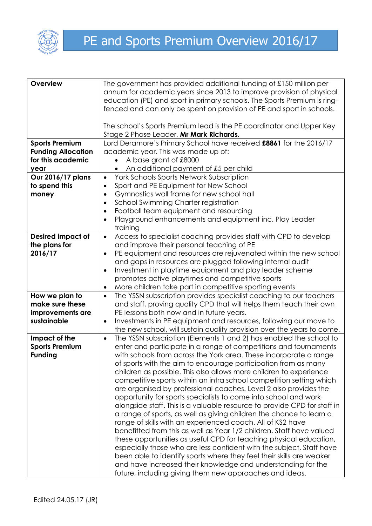

| Overview                  | The government has provided additional funding of £150 million per              |  |  |
|---------------------------|---------------------------------------------------------------------------------|--|--|
|                           | annum for academic years since 2013 to improve provision of physical            |  |  |
|                           | education (PE) and sport in primary schools. The Sports Premium is ring-        |  |  |
|                           | fenced and can only be spent on provision of PE and sport in schools.           |  |  |
|                           |                                                                                 |  |  |
|                           | The school's Sports Premium lead is the PE coordinator and Upper Key            |  |  |
|                           | Stage 2 Phase Leader, Mr Mark Richards.                                         |  |  |
| <b>Sports Premium</b>     | Lord Deramore's Primary School have received £8861 for the 2016/17              |  |  |
| <b>Funding Allocation</b> | academic year. This was made up of:                                             |  |  |
| for this academic         | A base grant of £8000                                                           |  |  |
| year                      | An additional payment of £5 per child                                           |  |  |
| Our 2016/17 plans         | York Schools Sports Network Subscription<br>$\bullet$                           |  |  |
| to spend this             | Sport and PE Equipment for New School<br>$\bullet$                              |  |  |
| money                     | Gymnastics wall frame for new school hall<br>$\bullet$                          |  |  |
|                           | School Swimming Charter registration<br>$\bullet$                               |  |  |
|                           | Football team equipment and resourcing                                          |  |  |
|                           | $\bullet$                                                                       |  |  |
|                           | Playground enhancements and equipment inc. Play Leader<br>$\bullet$<br>training |  |  |
| <b>Desired impact of</b>  | Access to specialist coaching provides staff with CPD to develop<br>$\bullet$   |  |  |
| the plans for             | and improve their personal teaching of PE                                       |  |  |
| 2016/17                   | PE equipment and resources are rejuvenated within the new school<br>$\bullet$   |  |  |
|                           | and gaps in resources are plugged following internal audit                      |  |  |
|                           | Investment in playtime equipment and play leader scheme<br>$\bullet$            |  |  |
|                           | promotes active playtimes and competitive sports                                |  |  |
|                           | More children take part in competitive sporting events                          |  |  |
| How we plan to            | The YSSN subscription provides specialist coaching to our teachers<br>$\bullet$ |  |  |
| make sure these           | and staff, proving quality CPD that will helps them teach their own             |  |  |
| improvements are          | PE lessons both now and in future years.                                        |  |  |
| sustainable               | Investments in PE equipment and resources, following our move to<br>٠           |  |  |
|                           | the new school, will sustain quality provision over the years to come.          |  |  |
| Impact of the             | The YSSN subscription (Elements 1 and 2) has enabled the school to<br>$\bullet$ |  |  |
| <b>Sports Premium</b>     | enter and participate in a range of competitions and tournaments                |  |  |
| <b>Funding</b>            | with schools from across the York area. These incorporate a range               |  |  |
|                           | of sports with the aim to encourage participation from as many                  |  |  |
|                           | children as possible. This also allows more children to experience              |  |  |
|                           | competitive sports within an intra school competition setting which             |  |  |
|                           | are organised by professional coaches. Level 2 also provides the                |  |  |
|                           | opportunity for sports specialists to come into school and work                 |  |  |
|                           | alongside staff. This is a valuable resource to provide CPD for staff in        |  |  |
|                           | a range of sports, as well as giving children the chance to learn a             |  |  |
|                           | range of skills with an experienced coach. All of KS2 have                      |  |  |
|                           | benefitted from this as well as Year 1/2 children. Staff have valued            |  |  |
|                           |                                                                                 |  |  |
|                           | these opportunities as useful CPD for teaching physical education,              |  |  |
|                           | especially those who are less confident with the subject. Staff have            |  |  |
|                           | been able to identify sports where they feel their skills are weaker            |  |  |
|                           | and have increased their knowledge and understanding for the                    |  |  |
|                           | future, including giving them new approaches and ideas.                         |  |  |